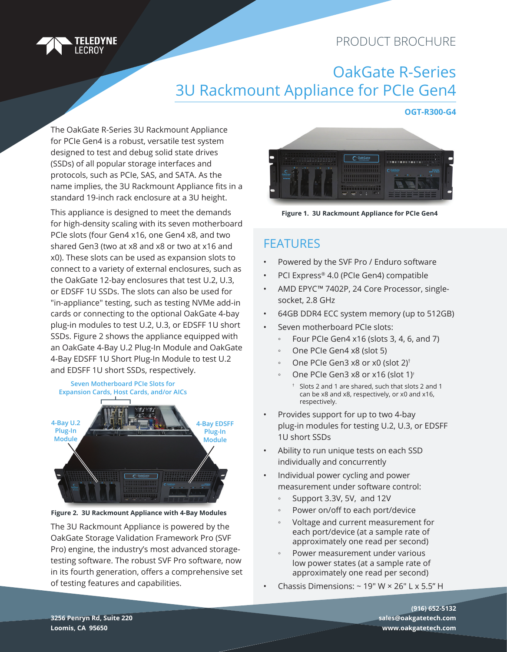#### PRODUCT BROCHURE



# OakGate R-Series 3U Rackmount Appliance for PCIe Gen4

#### **OGT-R300-G4**

The OakGate R-Series 3U Rackmount Appliance for PCIe Gen4 is a robust, versatile test system designed to test and debug solid state drives (SSDs) of all popular storage interfaces and protocols, such as PCIe, SAS, and SATA. As the name implies, the 3U Rackmount Appliance fits in a standard 19-inch rack enclosure at a 3U height.

This appliance is designed to meet the demands for high-density scaling with its seven motherboard PCIe slots (four Gen4 x16, one Gen4 x8, and two shared Gen3 (two at x8 and x8 or two at x16 and x0). These slots can be used as expansion slots to connect to a variety of external enclosures, such as the OakGate 12-bay enclosures that test U.2, U.3, or EDSFF 1U SSDs. The slots can also be used for "in-appliance" testing, such as testing NVMe add-in cards or connecting to the optional OakGate 4-bay plug-in modules to test U.2, U.3, or EDSFF 1U short SSDs. Figure 2 shows the appliance equipped with an OakGate 4-Bay U.2 Plug-In Module and OakGate 4-Bay EDSFF 1U Short Plug-In Module to test U.2 and EDSFF 1U short SSDs, respectively.



**Figure 2. 3U Rackmount Appliance with 4-Bay Modules**

The 3U Rackmount Appliance is powered by the OakGate Storage Validation Framework Pro (SVF Pro) engine, the industry's most advanced storagetesting software. The robust SVF Pro software, now in its fourth generation, offers a comprehensive set of testing features and capabilities.



**Figure 1. 3U Rackmount Appliance for PCIe Gen4**

### FEATURES

- Powered by the SVF Pro / Enduro software
- PCI Express® 4.0 (PCIe Gen4) compatible
- AMD EPYC*™* 7402P, 24 Core Processor, singlesocket, 2.8 GHz
- 64GB DDR4 ECC system memory (up to 512GB)
- Seven motherboard PCIe slots:
	- Four PCIe Gen4 x16 (slots 3, 4, 6, and 7)
	- One PCIe Gen4 x8 (slot 5)
	- One PCIe Gen3 x8 or x0 (slot 2)<sup>†</sup>
	- One PCIe Gen3 x8 or x16 (slot 1)<sup>t</sup>
		- † Slots 2 and 1 are shared, such that slots 2 and 1 can be x8 and x8, respectively, or x0 and x16, respectively.
- Provides support for up to two 4-bay plug-in modules for testing U.2, U.3, or EDSFF 1U short SSDs
- Ability to run unique tests on each SSD individually and concurrently
- Individual power cycling and power measurement under software control:
	- Support 3.3V, 5V, and 12V
	- Power on/off to each port/device
	- Voltage and current measurement for each port/device (at a sample rate of approximately one read per second)
	- Power measurement under various low power states (at a sample rate of approximately one read per second)
- Chassis Dimensions:  $\sim$  19" W  $\times$  26" L  $\times$  5.5" H

**(916) 652-5132 sales@oakgatetech.com www.oakgatetech.com**